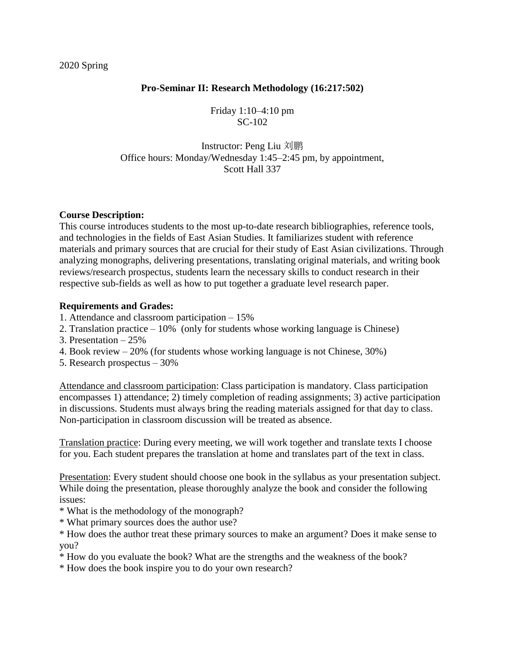#### 2020 Spring

### **Pro-Seminar II: Research Methodology (16:217:502)**

Friday 1:10–4:10 pm SC-102

Instructor: Peng Liu 刘鹏 Office hours: Monday/Wednesday 1:45–2:45 pm, by appointment, Scott Hall 337

### **Course Description:**

This course introduces students to the most up-to-date research bibliographies, reference tools, and technologies in the fields of East Asian Studies. It familiarizes student with reference materials and primary sources that are crucial for their study of East Asian civilizations. Through analyzing monographs, delivering presentations, translating original materials, and writing book reviews/research prospectus, students learn the necessary skills to conduct research in their respective sub-fields as well as how to put together a graduate level research paper.

#### **Requirements and Grades:**

- 1. Attendance and classroom participation 15%
- 2. Translation practice 10% (only for students whose working language is Chinese)
- 3. Presentation 25%
- 4. Book review 20% (for students whose working language is not Chinese, 30%)
- 5. Research prospectus 30%

Attendance and classroom participation: Class participation is mandatory. Class participation encompasses 1) attendance; 2) timely completion of reading assignments; 3) active participation in discussions. Students must always bring the reading materials assigned for that day to class. Non-participation in classroom discussion will be treated as absence.

Translation practice: During every meeting, we will work together and translate texts I choose for you. Each student prepares the translation at home and translates part of the text in class.

Presentation: Every student should choose one book in the syllabus as your presentation subject. While doing the presentation, please thoroughly analyze the book and consider the following issues:

- \* What is the methodology of the monograph?
- \* What primary sources does the author use?

\* How does the author treat these primary sources to make an argument? Does it make sense to you?

- \* How do you evaluate the book? What are the strengths and the weakness of the book?
- \* How does the book inspire you to do your own research?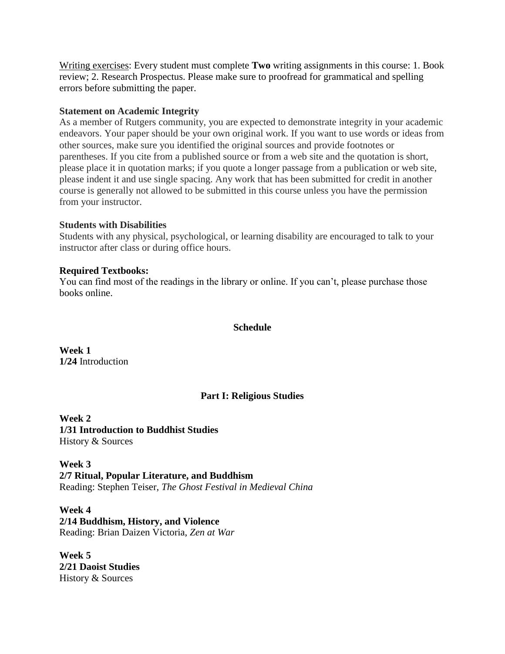Writing exercises: Every student must complete **Two** writing assignments in this course: 1. Book review; 2. Research Prospectus. Please make sure to proofread for grammatical and spelling errors before submitting the paper.

### **Statement on Academic Integrity**

As a member of Rutgers community, you are expected to demonstrate integrity in your academic endeavors. Your paper should be your own original work. If you want to use words or ideas from other sources, make sure you identified the original sources and provide footnotes or parentheses. If you cite from a published source or from a web site and the quotation is short, please place it in quotation marks; if you quote a longer passage from a publication or web site, please indent it and use single spacing. Any work that has been submitted for credit in another course is generally not allowed to be submitted in this course unless you have the permission from your instructor.

### **Students with Disabilities**

Students with any physical, psychological, or learning disability are encouraged to talk to your instructor after class or during office hours.

### **Required Textbooks:**

You can find most of the readings in the library or online. If you can't, please purchase those books online.

### **Schedule**

**Week 1 1/24** Introduction

# **Part I: Religious Studies**

**Week 2 1/31 Introduction to Buddhist Studies** History & Sources

**Week 3 2/7 Ritual, Popular Literature, and Buddhism** Reading: Stephen Teiser, *The Ghost Festival in Medieval China*

**Week 4 2/14 Buddhism, History, and Violence** Reading: Brian Daizen Victoria, *Zen at War*

**Week 5 2/21 Daoist Studies** History & Sources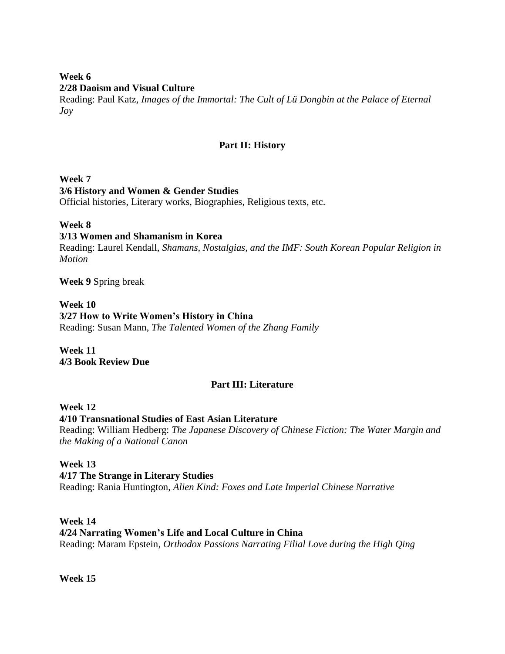# **Week 6 2/28 Daoism and Visual Culture**

Reading: Paul Katz, *Images of the Immortal: The Cult of Lü Dongbin at the Palace of Eternal Joy*

# **Part II: History**

# **Week 7 3/6 History and Women & Gender Studies**

Official histories, Literary works, Biographies, Religious texts, etc.

# **Week 8**

# **3/13 Women and Shamanism in Korea**

Reading: Laurel Kendall, *Shamans, Nostalgias, and the IMF: South Korean Popular Religion in Motion*

**Week 9** Spring break

### **Week 10**

**3/27 How to Write Women's History in China** Reading: Susan Mann, *[The Talented Women of the Zhang Family](http://93.174.95.29/_ads/A6FEE0ECFE6ADFB042080D9AF0AA15AF)*

**Week 11 4/3 Book Review Due**

# **Part III: Literature**

# **Week 12**

**4/10 Transnational Studies of East Asian Literature** Reading: William Hedberg: *The Japanese Discovery of Chinese Fiction: The Water Margin and the Making of a National Canon*

# **Week 13**

**4/17 The Strange in Literary Studies** Reading: Rania Huntington, *Alien Kind: Foxes and Late Imperial Chinese Narrative*

### **Week 14**

# **4/24 Narrating Women's Life and Local Culture in China**

Reading: Maram Epstein, *Orthodox Passions Narrating Filial Love during the High Qing*

**Week 15**